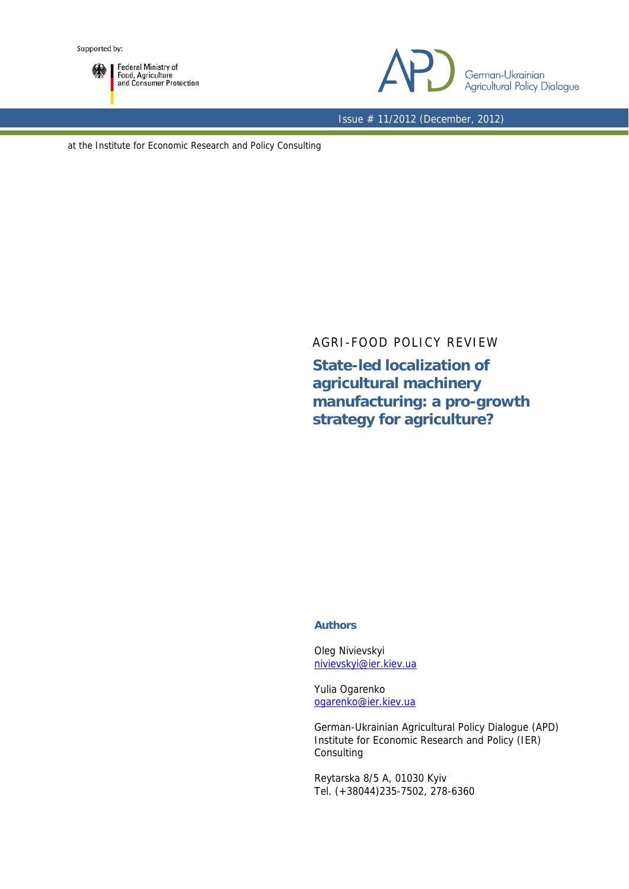

Federal Ministry of<br>Food, Agriculture<br>and Consumer Protection



Issue # 11/2012 (December, 2012)

at the Institute for Economic Research and Policy Consulting

AGRI-FOOD POLICY REVIEW

**State-led localization of agricultural machinery manufacturing: a pro-growth strategy for agriculture?** 

## **Authors**

Oleg Nivievskyi nivievskyi@ier.kiev.ua

Yulia Ogarenko ogarenko@ier.kiev.ua

German-Ukrainian Agricultural Policy Dialogue (APD) Institute for Economic Research and Policy (IER) Consulting

Reytarska 8/5 A, 01030 Kyiv Tel. (+38044)235-7502, 278-6360